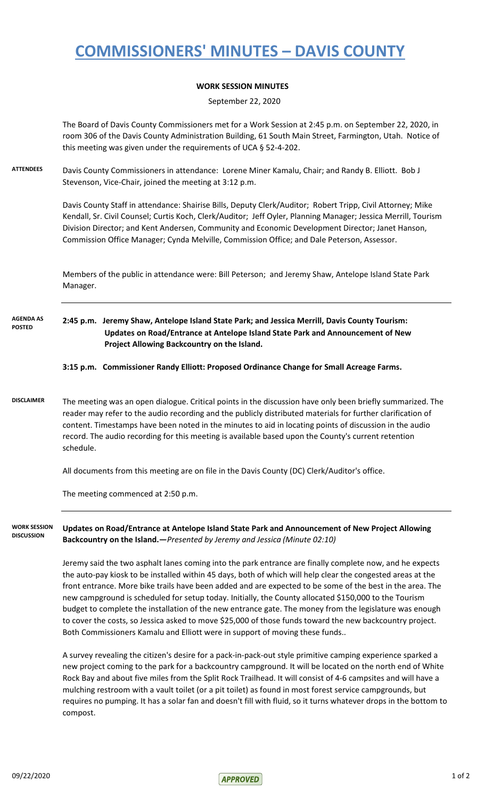## **COMMISSIONERS' MINUTES – DAVIS COUNTY**

## **WORK SESSION MINUTES**

September 22, 2020

The Board of Davis County Commissioners met for a Work Session at 2:45 p.m. on September 22, 2020, in room 306 of the Davis County Administration Building, 61 South Main Street, Farmington, Utah. Notice of this meeting was given under the requirements of UCA § 52-4-202.

**ATTENDEES** Davis County Commissioners in attendance: Lorene Miner Kamalu, Chair; and Randy B. Elliott. Bob J Stevenson, Vice-Chair, joined the meeting at 3:12 p.m.

> Davis County Staff in attendance: Shairise Bills, Deputy Clerk/Auditor; Robert Tripp, Civil Attorney; Mike Kendall, Sr. Civil Counsel; Curtis Koch, Clerk/Auditor; Jeff Oyler, Planning Manager; Jessica Merrill, Tourism Division Director; and Kent Andersen, Community and Economic Development Director; Janet Hanson, Commission Office Manager; Cynda Melville, Commission Office; and Dale Peterson, Assessor.

Members of the public in attendance were: Bill Peterson; and Jeremy Shaw, Antelope Island State Park Manager.

**2:45 p.m. Jeremy Shaw, Antelope Island State Park; and Jessica Merrill, Davis County Tourism: Updates on Road/Entrance at Antelope Island State Park and Announcement of New Project Allowing Backcountry on the Island. AGENDA AS POSTED**

**3:15 p.m. Commissioner Randy Elliott: Proposed Ordinance Change for Small Acreage Farms.**

**DISCLAIMER** The meeting was an open dialogue. Critical points in the discussion have only been briefly summarized. The reader may refer to the audio recording and the publicly distributed materials for further clarification of content. Timestamps have been noted in the minutes to aid in locating points of discussion in the audio record. The audio recording for this meeting is available based upon the County's current retention schedule.

All documents from this meeting are on file in the Davis County (DC) Clerk/Auditor's office.

The meeting commenced at 2:50 p.m.

**Updates on Road/Entrance at Antelope Island State Park and Announcement of New Project Allowing Backcountry on the Island.—***Presented by Jeremy and Jessica (Minute 02:10)* **WORK SESSION DISCUSSION**

> Jeremy said the two asphalt lanes coming into the park entrance are finally complete now, and he expects the auto-pay kiosk to be installed within 45 days, both of which will help clear the congested areas at the front entrance. More bike trails have been added and are expected to be some of the best in the area. The new campground is scheduled for setup today. Initially, the County allocated \$150,000 to the Tourism budget to complete the installation of the new entrance gate. The money from the legislature was enough to cover the costs, so Jessica asked to move \$25,000 of those funds toward the new backcountry project. Both Commissioners Kamalu and Elliott were in support of moving these funds..

A survey revealing the citizen's desire for a pack-in-pack-out style primitive camping experience sparked a new project coming to the park for a backcountry campground. It will be located on the north end of White Rock Bay and about five miles from the Split Rock Trailhead. It will consist of 4-6 campsites and will have a mulching restroom with a vault toilet (or a pit toilet) as found in most forest service campgrounds, but requires no pumping. It has a solar fan and doesn't fill with fluid, so it turns whatever drops in the bottom to compost.

 $09/22/2020$  1 of 2